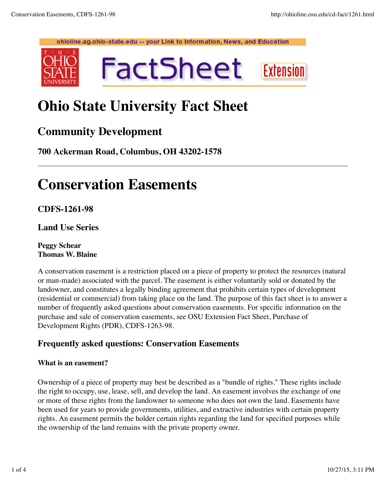

# **Ohio State University Fact Sheet**

### **Community Development**

**700 Ackerman Road, Columbus, OH 43202-1578**

# **Conservation Easements**

**CDFS-1261-98**

**Land Use Series**

**Peggy Schear Thomas W. Blaine**

A conservation easement is a restriction placed on a piece of property to protect the resources (natural or man-made) associated with the parcel. The easement is either voluntarily sold or donated by the landowner, and constitutes a legally binding agreement that prohibits certain types of development (residential or commercial) from taking place on the land. The purpose of this fact sheet is to answer a number of frequently asked questions about conservation easements. For specific information on the purchase and sale of conservation easements, see OSU Extension Fact Sheet, Purchase of Development Rights (PDR), CDFS-1263-98.

### **Frequently asked questions: Conservation Easements**

#### **What is an easement?**

Ownership of a piece of property may best be described as a "bundle of rights." These rights include the right to occupy, use, lease, sell, and develop the land. An easement involves the exchange of one or more of these rights from the landowner to someone who does not own the land. Easements have been used for years to provide governments, utilities, and extractive industries with certain property rights. An easement permits the holder certain rights regarding the land for specified purposes while the ownership of the land remains with the private property owner.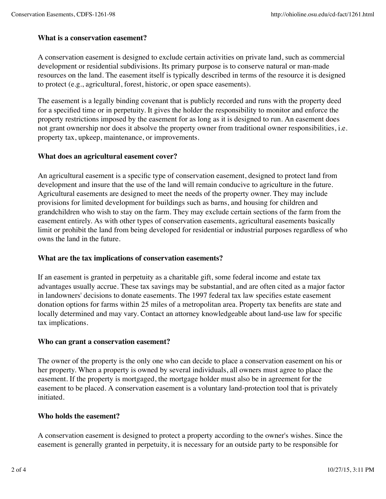#### **What is a conservation easement?**

A conservation easement is designed to exclude certain activities on private land, such as commercial development or residential subdivisions. Its primary purpose is to conserve natural or man-made resources on the land. The easement itself is typically described in terms of the resource it is designed to protect (e.g., agricultural, forest, historic, or open space easements).

The easement is a legally binding covenant that is publicly recorded and runs with the property deed for a specified time or in perpetuity. It gives the holder the responsibility to monitor and enforce the property restrictions imposed by the easement for as long as it is designed to run. An easement does not grant ownership nor does it absolve the property owner from traditional owner responsibilities, i.e. property tax, upkeep, maintenance, or improvements.

#### **What does an agricultural easement cover?**

An agricultural easement is a specific type of conservation easement, designed to protect land from development and insure that the use of the land will remain conducive to agriculture in the future. Agricultural easements are designed to meet the needs of the property owner. They may include provisions for limited development for buildings such as barns, and housing for children and grandchildren who wish to stay on the farm. They may exclude certain sections of the farm from the easement entirely. As with other types of conservation easements, agricultural easements basically limit or prohibit the land from being developed for residential or industrial purposes regardless of who owns the land in the future.

#### **What are the tax implications of conservation easements?**

If an easement is granted in perpetuity as a charitable gift, some federal income and estate tax advantages usually accrue. These tax savings may be substantial, and are often cited as a major factor in landowners' decisions to donate easements. The 1997 federal tax law specifies estate easement donation options for farms within 25 miles of a metropolitan area. Property tax benefits are state and locally determined and may vary. Contact an attorney knowledgeable about land-use law for specific tax implications.

#### **Who can grant a conservation easement?**

The owner of the property is the only one who can decide to place a conservation easement on his or her property. When a property is owned by several individuals, all owners must agree to place the easement. If the property is mortgaged, the mortgage holder must also be in agreement for the easement to be placed. A conservation easement is a voluntary land-protection tool that is privately initiated.

#### **Who holds the easement?**

A conservation easement is designed to protect a property according to the owner's wishes. Since the easement is generally granted in perpetuity, it is necessary for an outside party to be responsible for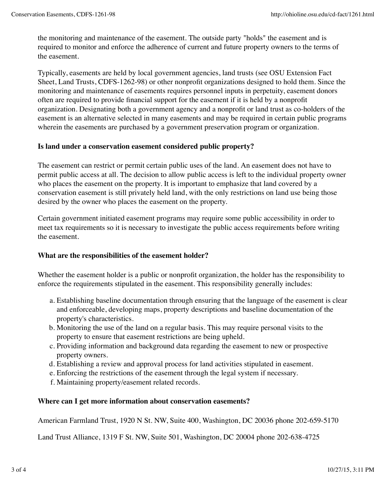the monitoring and maintenance of the easement. The outside party "holds" the easement and is required to monitor and enforce the adherence of current and future property owners to the terms of the easement.

Typically, easements are held by local government agencies, land trusts (see OSU Extension Fact Sheet, Land Trusts, CDFS-1262-98) or other nonprofit organizations designed to hold them. Since the monitoring and maintenance of easements requires personnel inputs in perpetuity, easement donors often are required to provide financial support for the easement if it is held by a nonprofit organization. Designating both a government agency and a nonprofit or land trust as co-holders of the easement is an alternative selected in many easements and may be required in certain public programs wherein the easements are purchased by a government preservation program or organization.

#### **Is land under a conservation easement considered public property?**

The easement can restrict or permit certain public uses of the land. An easement does not have to permit public access at all. The decision to allow public access is left to the individual property owner who places the easement on the property. It is important to emphasize that land covered by a conservation easement is still privately held land, with the only restrictions on land use being those desired by the owner who places the easement on the property.

Certain government initiated easement programs may require some public accessibility in order to meet tax requirements so it is necessary to investigate the public access requirements before writing the easement.

#### **What are the responsibilities of the easement holder?**

Whether the easement holder is a public or nonprofit organization, the holder has the responsibility to enforce the requirements stipulated in the easement. This responsibility generally includes:

- Establishing baseline documentation through ensuring that the language of the easement is clear a. and enforceable, developing maps, property descriptions and baseline documentation of the property's characteristics.
- Monitoring the use of the land on a regular basis. This may require personal visits to the b. property to ensure that easement restrictions are being upheld.
- c. Providing information and background data regarding the easement to new or prospective property owners.
- d. Establishing a review and approval process for land activities stipulated in easement.
- e. Enforcing the restrictions of the easement through the legal system if necessary.
- f. Maintaining property/easement related records.

#### **Where can I get more information about conservation easements?**

American Farmland Trust, 1920 N St. NW, Suite 400, Washington, DC 20036 phone 202-659-5170

Land Trust Alliance, 1319 F St. NW, Suite 501, Washington, DC 20004 phone 202-638-4725